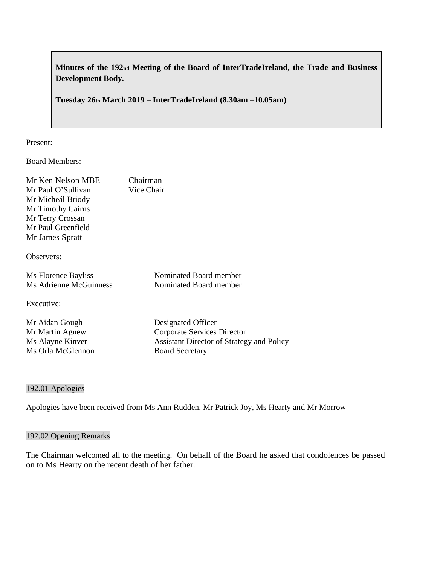**Minutes of the 192nd Meeting of the Board of InterTradeIreland, the Trade and Business Development Body.**

**Tuesday 26th March 2019 – InterTradeIreland (8.30am –10.05am)**

Present:

Board Members:

| Mr Ken Nelson MBE             | Chairman                    |
|-------------------------------|-----------------------------|
| Mr Paul O'Sullivan            | Vice Chair                  |
| Mr Micheál Briody             |                             |
| Mr Timothy Cairns             |                             |
| Mr Terry Crossan              |                             |
| Mr Paul Greenfield            |                             |
| Mr James Spratt               |                             |
| Observers:                    |                             |
| Ms Florence Bayliss           | Nominated Board member      |
| <b>Ms Adrienne McGuinness</b> | Nominated Board member      |
| Executive:                    |                             |
| Mr Aidan Gough                | Designated Officer          |
| Mr Martin Agnew               | Corporate Services Director |

Ms Alayne Kinver Assistant Director of Strategy and Policy Ms Orla McGlennon Board Secretary

#### 192.01 Apologies

Apologies have been received from Ms Ann Rudden, Mr Patrick Joy, Ms Hearty and Mr Morrow

# 192.02 Opening Remarks

The Chairman welcomed all to the meeting. On behalf of the Board he asked that condolences be passed on to Ms Hearty on the recent death of her father.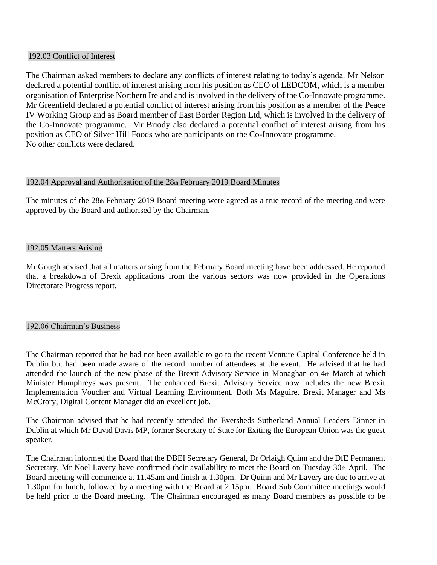#### 192.03 Conflict of Interest

The Chairman asked members to declare any conflicts of interest relating to today's agenda. Mr Nelson declared a potential conflict of interest arising from his position as CEO of LEDCOM, which is a member organisation of Enterprise Northern Ireland and is involved in the delivery of the Co-Innovate programme. Mr Greenfield declared a potential conflict of interest arising from his position as a member of the Peace IV Working Group and as Board member of East Border Region Ltd, which is involved in the delivery of the Co-Innovate programme. Mr Briody also declared a potential conflict of interest arising from his position as CEO of Silver Hill Foods who are participants on the Co-Innovate programme. No other conflicts were declared.

#### 192.04 Approval and Authorisation of the 28th February 2019 Board Minutes

The minutes of the 28th February 2019 Board meeting were agreed as a true record of the meeting and were approved by the Board and authorised by the Chairman.

#### 192.05 Matters Arising

Mr Gough advised that all matters arising from the February Board meeting have been addressed. He reported that a breakdown of Brexit applications from the various sectors was now provided in the Operations Directorate Progress report.

# 192.06 Chairman's Business

The Chairman reported that he had not been available to go to the recent Venture Capital Conference held in Dublin but had been made aware of the record number of attendees at the event. He advised that he had attended the launch of the new phase of the Brexit Advisory Service in Monaghan on 4th March at which Minister Humphreys was present. The enhanced Brexit Advisory Service now includes the new Brexit Implementation Voucher and Virtual Learning Environment. Both Ms Maguire, Brexit Manager and Ms McCrory, Digital Content Manager did an excellent job.

The Chairman advised that he had recently attended the Eversheds Sutherland Annual Leaders Dinner in Dublin at which Mr David Davis MP, former Secretary of State for Exiting the European Union was the guest speaker.

The Chairman informed the Board that the DBEI Secretary General, Dr Orlaigh Quinn and the DfE Permanent Secretary, Mr Noel Lavery have confirmed their availability to meet the Board on Tuesday 30th April. The Board meeting will commence at 11.45am and finish at 1.30pm. Dr Quinn and Mr Lavery are due to arrive at 1.30pm for lunch, followed by a meeting with the Board at 2.15pm. Board Sub Committee meetings would be held prior to the Board meeting. The Chairman encouraged as many Board members as possible to be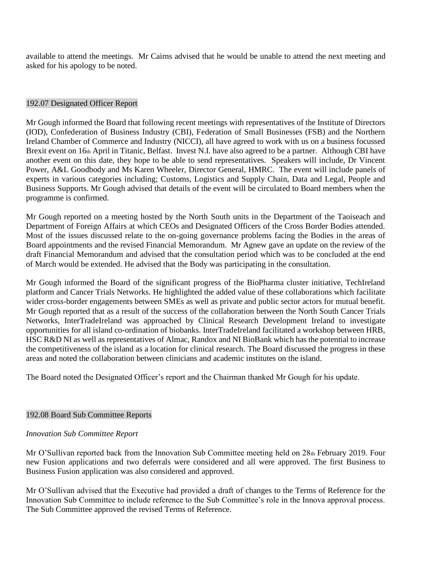available to attend the meetings. Mr Cairns advised that he would be unable to attend the next meeting and asked for his apology to be noted.

#### 192.07 Designated Officer Report

Mr Gough informed the Board that following recent meetings with representatives of the Institute of Directors (IOD), Confederation of Business Industry (CBI), Federation of Small Businesses (FSB) and the Northern Ireland Chamber of Commerce and Industry (NICCI), all have agreed to work with us on a business focussed Brexit event on 16th April in Titanic, Belfast. Invest N.I. have also agreed to be a partner. Although CBI have another event on this date, they hope to be able to send representatives. Speakers will include, Dr Vincent Power, A&L Goodbody and Ms Karen Wheeler, Director General, HMRC. The event will include panels of experts in various categories including; Customs, Logistics and Supply Chain, Data and Legal, People and Business Supports. Mr Gough advised that details of the event will be circulated to Board members when the programme is confirmed.

Mr Gough reported on a meeting hosted by the North South units in the Department of the Taoiseach and Department of Foreign Affairs at which CEOs and Designated Officers of the Cross Border Bodies attended. Most of the issues discussed relate to the on-going governance problems facing the Bodies in the areas of Board appointments and the revised Financial Memorandum. Mr Agnew gave an update on the review of the draft Financial Memorandum and advised that the consultation period which was to be concluded at the end of March would be extended. He advised that the Body was participating in the consultation.

Mr Gough informed the Board of the significant progress of the BioPharma cluster initiative, TechIreland platform and Cancer Trials Networks. He highlighted the added value of these collaborations which facilitate wider cross-border engagements between SMEs as well as private and public sector actors for mutual benefit. Mr Gough reported that as a result of the success of the collaboration between the North South Cancer Trials Networks, InterTradeIreland was approached by Clinical Research Development Ireland to investigate opportunities for all island co-ordination of biobanks. InterTradeIreland facilitated a workshop between HRB, HSC R&D NI as well as representatives of Almac, Randox and NI BioBank which has the potential to increase the competitiveness of the island as a location for clinical research. The Board discussed the progress in these areas and noted the collaboration between clinicians and academic institutes on the island.

The Board noted the Designated Officer's report and the Chairman thanked Mr Gough for his update.

# 192.08 Board Sub Committee Reports

# *Innovation Sub Committee Report*

Mr O'Sullivan reported back from the Innovation Sub Committee meeting held on 28th February 2019. Four new Fusion applications and two deferrals were considered and all were approved. The first Business to Business Fusion application was also considered and approved.

Mr O'Sullivan advised that the Executive had provided a draft of changes to the Terms of Reference for the Innovation Sub Committee to include reference to the Sub Committee's role in the Innova approval process. The Sub Committee approved the revised Terms of Reference.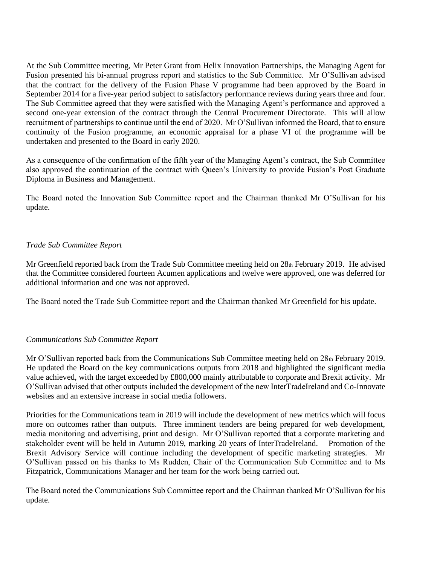At the Sub Committee meeting, Mr Peter Grant from Helix Innovation Partnerships, the Managing Agent for Fusion presented his bi-annual progress report and statistics to the Sub Committee. Mr O'Sullivan advised that the contract for the delivery of the Fusion Phase V programme had been approved by the Board in September 2014 for a five-year period subject to satisfactory performance reviews during years three and four. The Sub Committee agreed that they were satisfied with the Managing Agent's performance and approved a second one-year extension of the contract through the Central Procurement Directorate. This will allow recruitment of partnerships to continue until the end of 2020. Mr O'Sullivan informed the Board, that to ensure continuity of the Fusion programme, an economic appraisal for a phase VI of the programme will be undertaken and presented to the Board in early 2020.

As a consequence of the confirmation of the fifth year of the Managing Agent's contract, the Sub Committee also approved the continuation of the contract with Queen's University to provide Fusion's Post Graduate Diploma in Business and Management.

The Board noted the Innovation Sub Committee report and the Chairman thanked Mr O'Sullivan for his update.

# *Trade Sub Committee Report*

Mr Greenfield reported back from the Trade Sub Committee meeting held on 28th February 2019. He advised that the Committee considered fourteen Acumen applications and twelve were approved, one was deferred for additional information and one was not approved.

The Board noted the Trade Sub Committee report and the Chairman thanked Mr Greenfield for his update.

# *Communications Sub Committee Report*

Mr O'Sullivan reported back from the Communications Sub Committee meeting held on 28th February 2019. He updated the Board on the key communications outputs from 2018 and highlighted the significant media value achieved, with the target exceeded by £800,000 mainly attributable to corporate and Brexit activity. Mr O'Sullivan advised that other outputs included the development of the new InterTradeIreland and Co-Innovate websites and an extensive increase in social media followers.

Priorities for the Communications team in 2019 will include the development of new metrics which will focus more on outcomes rather than outputs. Three imminent tenders are being prepared for web development, media monitoring and advertising, print and design. Mr O'Sullivan reported that a corporate marketing and stakeholder event will be held in Autumn 2019, marking 20 years of InterTradeIreland. Promotion of the Brexit Advisory Service will continue including the development of specific marketing strategies. Mr O'Sullivan passed on his thanks to Ms Rudden, Chair of the Communication Sub Committee and to Ms Fitzpatrick, Communications Manager and her team for the work being carried out.

The Board noted the Communications Sub Committee report and the Chairman thanked Mr O'Sullivan for his update.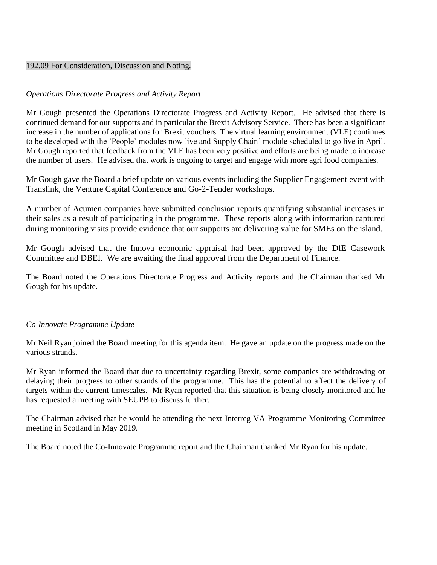#### 192.09 For Consideration, Discussion and Noting.

# *Operations Directorate Progress and Activity Report*

Mr Gough presented the Operations Directorate Progress and Activity Report. He advised that there is continued demand for our supports and in particular the Brexit Advisory Service. There has been a significant increase in the number of applications for Brexit vouchers. The virtual learning environment (VLE) continues to be developed with the 'People' modules now live and Supply Chain' module scheduled to go live in April. Mr Gough reported that feedback from the VLE has been very positive and efforts are being made to increase the number of users. He advised that work is ongoing to target and engage with more agri food companies.

Mr Gough gave the Board a brief update on various events including the Supplier Engagement event with Translink, the Venture Capital Conference and Go-2-Tender workshops.

A number of Acumen companies have submitted conclusion reports quantifying substantial increases in their sales as a result of participating in the programme. These reports along with information captured during monitoring visits provide evidence that our supports are delivering value for SMEs on the island.

Mr Gough advised that the Innova economic appraisal had been approved by the DfE Casework Committee and DBEI. We are awaiting the final approval from the Department of Finance.

The Board noted the Operations Directorate Progress and Activity reports and the Chairman thanked Mr Gough for his update.

# *Co-Innovate Programme Update*

Mr Neil Ryan joined the Board meeting for this agenda item. He gave an update on the progress made on the various strands.

Mr Ryan informed the Board that due to uncertainty regarding Brexit, some companies are withdrawing or delaying their progress to other strands of the programme. This has the potential to affect the delivery of targets within the current timescales. Mr Ryan reported that this situation is being closely monitored and he has requested a meeting with SEUPB to discuss further.

The Chairman advised that he would be attending the next Interreg VA Programme Monitoring Committee meeting in Scotland in May 2019.

The Board noted the Co-Innovate Programme report and the Chairman thanked Mr Ryan for his update.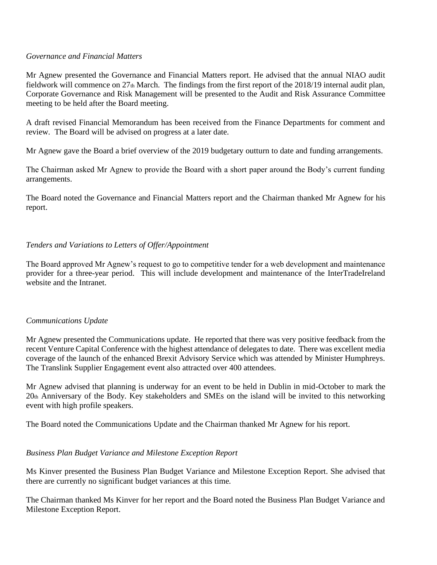#### *Governance and Financial Matters*

Mr Agnew presented the Governance and Financial Matters report. He advised that the annual NIAO audit fieldwork will commence on 27th March. The findings from the first report of the 2018/19 internal audit plan, Corporate Governance and Risk Management will be presented to the Audit and Risk Assurance Committee meeting to be held after the Board meeting.

A draft revised Financial Memorandum has been received from the Finance Departments for comment and review. The Board will be advised on progress at a later date.

Mr Agnew gave the Board a brief overview of the 2019 budgetary outturn to date and funding arrangements.

The Chairman asked Mr Agnew to provide the Board with a short paper around the Body's current funding arrangements.

The Board noted the Governance and Financial Matters report and the Chairman thanked Mr Agnew for his report.

# *Tenders and Variations to Letters of Offer/Appointment*

The Board approved Mr Agnew's request to go to competitive tender for a web development and maintenance provider for a three-year period. This will include development and maintenance of the InterTradeIreland website and the Intranet.

# *Communications Update*

Mr Agnew presented the Communications update. He reported that there was very positive feedback from the recent Venture Capital Conference with the highest attendance of delegates to date. There was excellent media coverage of the launch of the enhanced Brexit Advisory Service which was attended by Minister Humphreys. The Translink Supplier Engagement event also attracted over 400 attendees.

Mr Agnew advised that planning is underway for an event to be held in Dublin in mid-October to mark the 20th Anniversary of the Body. Key stakeholders and SMEs on the island will be invited to this networking event with high profile speakers.

The Board noted the Communications Update and the Chairman thanked Mr Agnew for his report.

# *Business Plan Budget Variance and Milestone Exception Report*

Ms Kinver presented the Business Plan Budget Variance and Milestone Exception Report. She advised that there are currently no significant budget variances at this time.

The Chairman thanked Ms Kinver for her report and the Board noted the Business Plan Budget Variance and Milestone Exception Report.